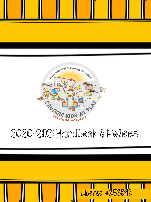



# 2020-2021 Handbook & Policies

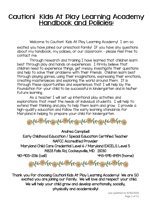# Caution! Kids At Play Learning Academy **Handbook and Policies:**

Welcome to Caution! Kids At Play Learning Academy! I am so

excited you have joined our preschool family! If you have any questions about my handbook, my policies, or our classroom – please feel free to contact me.

Through research and training I have learned that children learn best through play and hands on experiences. I firmly believe that children need to experience things, get messy, investigate their questions and help to solve their problems with their friends. Children learn best through playing games, using their imaginations, expressing their emotions, creating masterpieces and exploring the world around them. It is through these opportunities and experiences that I will help lay the foundation for your child to be successful in kindergarten and in his/her future learning.

As a teacher I will set up intentional play activities and explorations that meet the needs of individual students. I will help to extend their thinking and play to help them learn and grow. I provide a high-quality education and follow the early learning standards for Maryland in helping to prepare your child for kindergarten.



Andrea Campbell Early Childhood Education / Special Education Certified Teacher NAFCC Accredited Provider Maryland Child Care Credential Level 6 / Maryland EXCELS Level 5

14828 Falls Rd, Cockeysville, MD. 21030

410-903-2136 (cell) 443-595-8454 (home)



Thank you for choosing Caution! Kids At Play Learning Academy! We are SO excited you are joining our family. We will love and respect your child. We will help your child grow and develop emotionally, socially, physically and academically!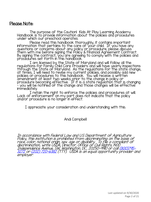#### Please Note:

The purpose of the Caution! Kids At Play Learning Academy Handbook is to provide information about the policies and procedures under which our preschool operates.

Please read this handbook thoroughly, it contains important information that pertains to the care of your child. If you have any questions or concerns about any policy or procedure, please discuss them with me before signing the Policy & Financial Agreement Contract. By signing the contract, you are agreeing to comply with the policies and procedures set forth in this handbook.

I am licensed by the State of Maryland and will follow all the regulations for Family Child Care Providers and will have yearly inspections through the State of Maryland. As the regulations for the state change, at times, I will need to revise my current policies, and possibly add new policies or procedures to this handbook. You will receive a written amendment at least two weeks prior to the change in policy or procedure becoming effective. If it is a state regulation that is changing – you will be notified of the change and those changes will be effective immediately.

I retain the right to enforce the policies and procedures at will. Lack of enforcement on my part does not indicate that the policy and/or procedure is no longer in effect.

I appreciate your consideration and understanding with this.

#### Andi Campbell

In accordance with Federal Law and U.S Department of Agriculture Policy, this institution is prohibited from discriminating on the basis of race, color, national origin, sex. age or disability. To file a compliant of discrimination, write USDA, Director, Office of Civil Rights, 1400 [Independence Avenue, SW, Washington, DC., 20250-9410 or call](tel:(800)795-3272) (800)795- <sup>3272</sup> or [\(202\) 720-6382](tel:(202)%20720-6382) (TTY). USDA is an equal opportunity provider and employer.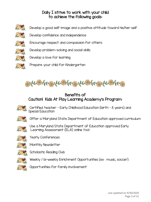## Daily I strive to work with your child to achieve the following goals:



Develop a good self-image and a positive attitude toward his/her self

- - Encourage respect and compassion for others
	- Develop problem-solving and social skills

Develop confidence and independence

- Develop a love for learning
	- Prepare your child for Kindergarten



Benefits of Caution! Kids At Play Learning Academy's Program:



Certified teacher – Early Childhood Education (birth – 8 years) and Special Education

Offer a Maryland State Department of Education approved curriculum



Use a Maryland State Department of Education approved Early Learning Assessment (ELA) online tool



Yearly Conferences



Monthly Newsletter

Scholastic Reading Club



Weekly / bi-weekly Enrichment Opportunities (ex: music, soccer)

Opportunities for family involvement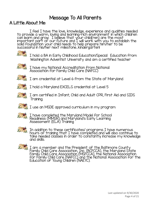# Message To All Parents

# A Little About Me:

I feel I have the love, knowledge, experience and qualities needed to provide a warm, loving and learning-rich environment in which children can learn and grow. I believe that your child(ren) are the most j important part of our future and I will work with you to establish the solid foundation your child needs to help prepare him/her to be successful in his/her next milestone…kindergarten!



I hold a BA in Early Childhood Education/Special Education from Washington Adventist University and am a certified teacher



I have my National Accreditation from National Association for Family Child Care (NAFCC)



I am credential at Level 6 from the State of Maryland



I hold a Maryland EXCELS credential at Level 5



I am certified in Infant, Child and Adult CPR, First Aid and SIDS Training.

 $I$  I use an MSDE approved curriculum in my program



I have completed the Maryland Model for School Readiness (MMSR) and Maryland's Early Learning Assessment (ELA) Training



In addition to these certificates/ programs I have numerous hours of training that I have completed and will also continue to take needed classes in order to constantly increase my knowledge and skills.



I am a member and the President of the Baltimore County Family Child Care Association, Inc. (BCFCCA), the Maryland State Family Child Care Association (MSFCCA), the National Association for Family Child Care (NAFCC) and the National Association for the Education of Young Children (NAEYC).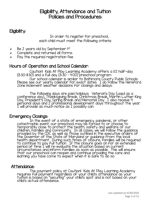# Eligibility, Attendance and Tuition Policies and Procedures:

# Eligibility:

In order to register for preschool, each child must meet the following criteria:

- Be 2 years old by September 1st
- ➢ Complete and returned all forms
- $\triangleright$  Pay the required registration fee

# Hours of Operation and School Calendar:

Caution! Kids At Play Learning Academy offers a 1/2 half-day (8:30-11:30) and a full day (8:30 – 4:00) preschool program Our school calendar is similar to Baltimore County Public Schools. Please see our yearly calendar for exact dates. I do follow the Hereford Zone inclement weather decisions for closings and delays.

The following days are paid holidays: Veteran's Day (used as a conference day), Thanksgiving Break, Christmas Break, Martin Luther King Day, President's Day, Spring Break and Memorial Day. I also receive 4 personal days and 2 professional development days throughout the year. I will provide as much notice as I possibly can.

# Emergency Closings:

In the event of a state of emergency, pandemic, or other catastrophic event, our preschool may be forced to or choose to temporarily close to protect the health, safety and welfare of our children, families and community. In all cases, we will follow the guidance provided by the CDC as well as those outlined in the executive orders of the Governor of the State of Maryland or guidance from the local health department. During such times of closure, families will be required to continue to pay full tuition. If the closure goes on for an extended period of time I will re-evaluate the situation based on current circumstances and inform families as soon as possible. This will ensure that our preschool can reopen and continue providing the care and learning you have come to expect when it is safe to do so.

#### Attendance:

The payment policy at Caution! Kids At Play Learning Academy requires full payment regardless of your child's attendance as your tuition is based on "securing" your child's spot and is not based on your child's actual attendance.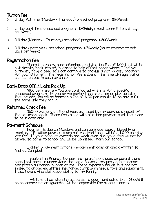# Tuition Fee:

- $\ge$   $\frac{1}{2}$  day full time (Monday Thursday) preschool program: \$130/week
- $\triangleright$   $\frac{1}{2}$  day part time preschool program: \$40/daily (must commit to set days per week)
- ➢ Full day (Monday Thursday) preschool program: \$260/week
- ➢ Full day / part week preschool program: \$70/daily (must commit to set days per week)

## Registration Fee:

There is a yearly, non-refundable registration fee of \$100 that will be put directly back into my business to help offset areas where I feel we currently have a need so I can continue to provide a high-quality program for your child(ren). The registration fee is due at the time of registration and can be paid in cash or check.

# Early Drop Off / Late Pick Up:

\$1.00 per minute - You are contracted with me for a specific preschool program. If you arrive earlier than expected or pick up later than agreed, you will be charged a fee of \$1.00 per minute to be paid in full the same day they occur.

## Returned Check Fee:

\$50.00 plus any additional fees assessed by my bank as a result of the returned check. These fees along with all other payments will then need to be in cash only.

## Payment Schedule:

Payment is due on Mondays and can be made weekly, biweekly or monthly. If tuition payments are not received there will be a \$10.00 per day late fee. If your account exceeds one week over-due, your child will not be allowed to come to school and will be dismissed from our school.

I offer 3 payment options – e-payment, cash or check written to Andrea Campbell.

I realize the financial burden that preschool places on parents, and hope that parents understand that as a business my preschool program also places a financial burden on me. These expenses include, but are not limited to groceries, utilities, insurance, curriculum needs, toys and equipment. I also have a financial responsibility to my family.

I will take all outstanding accounts to court and collections. Should it be necessary, parent/guardian will be responsible for all court costs.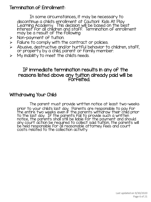# Termination of Enrollment:

In some circumstances, it may be necessary to discontinue a child's enrollment at Caution! Kids At Play Learning Academy. This decision will be based on the best interest for all children and staff. Termination of enrollment may be a result of the following:

- ➢ Non-payment of tuition.
- $\triangleright$  Failure to comply with the contract or policies.
- ➢ Abusive, destructive and/or hurtful behavior to children, staff, or property by a child, parent or family member.
- $\triangleright$  My inability to meet the child's needs.

# If immediate termination results in any of the reasons listed above any tuition already paid will be **forfeited**

# Withdrawing Your Child:

The parent must provide written notice at least two-weeks prior to your child's last day. Parents are responsible to pay for the entire two weeks even if the parents withdraw their child prior to the last day. If the parents fail to provide such a written notice, the parents shall still be liable for the payment and should any court action be required to collect said tuition, the parents will be held responsible for all reasonable attorney fees and court costs related to the collection activity.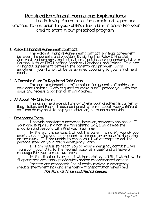# Required Enrollment Forms and Explanations:

The following forms must be completed, signed and returned to me, prior to your child's start date, in order for your child to start in our preschool program.

#### 1. Policy & Financial Agreement Contract:

The Policy & Financial Agreement Contract is a legal agreement between the parents and provider. By signing the Policy & Financial Contract you are agreeing to the terms, policies, and procedures listed in Caution! Kids At Play Learning Academy Handbook and Policies. It is also a financial agreement between the parents and provider. Upon enrollment, your tuition will be determined according to your enrollment needs.

#### 2. A Parent's Guide To Regulated Child Care:

This contains important information for parents of children in child care facilities. I am required to make sure I provide you with this guide and receive a portion of it back signed.

#### 3. All About My Child Form:

This gives me a nice picture of where your child(ren) is currently, likes, dislikes and fears. Please be honest with me about your child(ren) so  $\rm I$  can do my best to help your child(ren) as much as possible.

#### 4. Emergency Form:

I provide constant supervision, however, accidents can occur. If your child is injured in a non-life threatening way, I will assess the situation and respond with first-aid treatment.

If the injury is serious, I will call the parent to notify you of your child's condition, so you can proceed to the doctor or hospital depending on the injury. If I am unable to reach you, I will attempt to call the persons listed on your child's emergency form.

If I am unable to reach you or your emergency contact, I will transport your child to the nearest hospital myself and will leave a message for you to meet us there.

If the situation is urgent, I will immediately call 911. I will follow the 911 operator's directions, procedures and/or recommended actions.

Parents are responsible for all costs involved in emergency medical treatment including emergency transportation when used.

#### This form is to be updated as needed.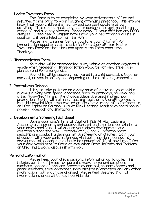## 5. Health Inventory Form:

This form is to be completed by your pediatrician's office and returned to me prior to your child(ren) attending preschool. This lets me know that your child(ren) is healthy and can participate in all our activities. It also documents any health concerns I might need to be aware of and also any allergies. Please note: If your child has any FOOD allergies – I also need a written note from your pediatrician's office in addition to it being filled out on this form.

Please try to remember as you take your child(ren) for immunization appointments to ask me for a copy of their Health Inventory Form so that they can update the form each time. Thank you.

#### 6. Transportation Form:

Your child will be transported in my vehicle or another designated vehicle when necessary. Transportation would be for field trips (preplanned) and for emergencies.

Your child will be securely restrained in a child carseat, a booster carseat, or vehicle safety belt depending on the state requirements.

#### 7. Photo/News Release:

I try to take pictures on a daily basis of activities your child is involved in along with special occasions, such as birthdays, holidays, and other "fun-filled" times. The photos/videos are used in preschool promotion, sharing with others, teaching tools, arts & crafts projects, monthly newsletters, news related articles, hand-made gifts for parents, and for display on Caution! Kids At Play Learning Academy's social medial pages – Facebook and Instagram.

#### 8. Developmental Screening Fact Sheet:

During your child's time at Caution! Kids At Play Learning Academy assessments and observations will be taken and compiled into your child's portfolio. I will discuss your child's development and milestones along the way. Routinely at 9, 18 and 24 months most pediatricians conduct a developmental screening on children. If, in your discussion with your pediatrician you find out they don't conduct a developmental screening one should be requested. If, at any time, I feel your child would benefit from an evaluation from Infants and Toddlers or Child Find I would discuss it with you.

#### Personal Information:

Please keep your child's personal information up to date. This includes but is not limited to: parent's work, home and cell phone numbers, change of address, emergency contact person's names and phone numbers, email addresses, immunization information and any other information that may have changed. Please rest assured that all information shared will be kept confidential.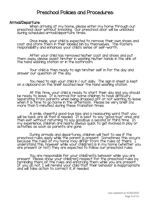# Preschool Policies and Procedures:

#### Arrival/Departure:

When arriving at my home, please enter my home through our preschool door without knocking. Our preschool door will be unlocked during scheduled arrival/departure times.

Once inside, your child is expected to remove their own shoes and coat and store them in their labeled bin by themselves. This fosters responsibility and enhances your child's sense of self-worth.

After your child has removed his/her coat and shoes and put them away, please assist him/her in washing his/her hands in the sink at the hand washing station or in the bathroom.

Your child is then ready to sign him/her self in for the day and answer our question of the day.

You need to sign your child in / out daily. The sign in sheet is kept on a clipboard on the shelf located near the hand washing station.

At this time, your child is ready to start their day and you should be ready to leave. It is normal for some children to have difficulty separating from parents when being dropped off or not wanting to leave when it is time to go home in the afternoon. Please be very brief (no more than 5 minutes) during these transition times.

A smile, cheerful good-bye kiss and a reassuring word that you will be back are all that is needed. It is best to say "good-bye" once and then exit without returning to say goodbye a second or third time. In my experience, children are nearly always quick to get involved in play or activities as soon as parents are gone.

During arrivals and departures, children will test to see if the preschool rules apply while the parent is present. Sometimes this occurs because the rules at my home may differ from the rules at theirs. I understand this, however while your child(ren) is in my home (whether you are present or not) they are expected to follow our preschool rules.

You are responsible for your child(ren)'s behavior while you are present. Please show your child(ren) respect for the preschool rules by reminding them of the rules and enforcing them while you are present. If you do not, I will remind your child that their behavior is inappropriate  $\;$ and will take action to correct it, if needed.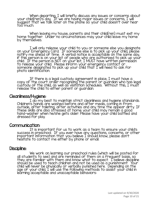When departing, I will briefly discuss any issues or concerns about your child(ren)'s day. If we are having major issues or concerns, I will suggest that we talk later on the phone so your child doesn't over hear too much.

When leaving my house, parents and their child(ren) must exit my home together. Under no circumstances may your child leave my home by themselves.

I will only release your child to you or someone else you designate on your Emergency Card. If someone else is to pick up your child, please notify me ahead of time. A verbal notice is acceptable on the same day, if this person is on your list of people who are authorized to pick up your child. If the person is NOT on your list, I MUST have written permission to release your child. Please inform your emergency contact or someone designated to pick up your child that I will need to ask for photo identification.

If there is a legal custody agreement in place, I must have a copy of the court order recognizing the parent or guardian who has legal custody of the child, as well as visitation schedules. Without this, I must release the child to either parent or guardian.

#### Cleanliness/Hygiene:

I do my best to maintain strict cleanliness and hygiene standards. Children's hands are washed before and after meals, coming in from outside, after toileting, after activities and any time the appear dirty. If these skills are also stressed at home your child may remain a good hand-washer when he/she gets older. Please have your child bathed and dressed for play.

#### Communication:

It is important for us to work as a team to ensure your child's success in preschool. If you ever have any questions, concerns, or other important information that you believe I should know, please don't hesitate to contact me either by phone or email.

#### Discipline:

We work on learning our preschool rules (which will be posted for all students to see) and are reminded of them on a frequent basis, so they are familiar with them and know what to expect. I believe discipline should be used to teach children and not be used as a punishment. Your child will never be physically or verbally punished here. Depending on the age of your child, I will use the following methods to assist your child in learning acceptable and unacceptable behaviors: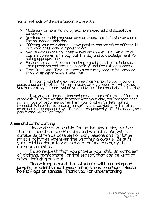Some methods of discipline/guidance I use are:

- ➢ Modeling demonstrating by example expected and acceptable **behaviors**
- ➢ Re-direction offering your child an acceptable behavior or choice for an unacceptable one
- ➢ Offering your child choices two positive choices will be offered to help your child make a "good choice"
- ➢ Verbal expressions and positive reinforcement I offer a lot of positive comments throughout the day and acknowledgement for acting appropriately.
- $\triangleright$  Encouragement of problem-solving guiding children to help solve their problems and use it as a learning tool for future success
- ➢ Time Out / Quiet Time at times a child may need to be removed from a situation when all else fails.

If your child's behavior becomes a disruption to our program, poses a danger to other children, myself, or my property I will contact you immediately for removal of your child for the remainder of the day.

I will discuss the situation and present plans of a joint effort to resolve it. If after working together with your child, the behavior does not improve or becomes worse, then your child will be terminated immediately in order to ensure the safety and well-being of the other children in our preschool, myself, and/or my property. If this occurs, any paid tuition will be forfeited.

#### Dress and Extra Clothing:

Please dress your child for active play in play clothes that are practical, comfortable and washable. We will go outside as often as possible for daily lessons and for large muscle activities whenever the weather allows us. Be sure your child is adequately dressed so he/she can enjoy the outdoor activities.

I also request that you provide your child an extra set of clothing, appropriate for the season, that can be kept at school, including socks  $\odot$ 

Please keep in mind that students will be running and jumping. Students must wear tennis shoes to school. Please no flip flops or sandals. Thank you for understanding.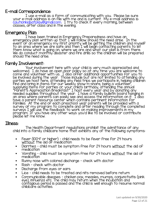# E-mail Correspondence:

I use e-mail as a form of communicating with you. Please be sure your e-mail address is on file with me and is current. My e-mail address is: [cautionkidsatplay@gmail.com.](mailto:cautionkidsatplay@gmail.com) I try to check it every morning, between classes, after class and in the evening.

## Emergency Plan:

I have been trained in Emergency Preparedness and have an emergency plan written up that I will follow should the need arise. In the event of an emergency my first priority will be getting the children and myself to an area where we are safe and then I will begin contacting parents to let them know what is going on, where we are and what our plan is from there. We do conduct monthly disaster and fire drills so the children will be prepared should the need arise.

## Family Involvement:

Your involvement here with your child is very much appreciated and welcomed. I do have an open door policy so at any time you are welcome to come and volunteer with us. I also offer additional opportunities for you to be involved during the year. Those include but are not limited to attending any parties we host here, attending any field trips we participate in, helping children find and bring in items for our weekly show-n-share, being a volunteer, supplying items for parties or your child's birthday, attending the annual "Parent's Appreciation Breakfast" I host every year and by donating any needed supplies throughout the year. I have a family bulletin board hanging in an area where parents can easily see and access the information on it. I also have a parent resource center which contains pertinent information for families. At the end of each preschool year parents will be provided with a survey of my program to complete and after reading through the completed surveys I will use the feedback to work on making improvements in my program. If you have any other ways you'd like to be involved or contribute please let me know.

#### Illness:

The Health Department regulations prohibit the admittance of any child into a family childcare home that exhibits any of the following symptoms:

- Fever (100°f or higher) child needs to be fever free for 24 hours without the aid of medication
- Diarrhea child must be symptom free for 24 hours without the aid of medication
- Vomiting child must be symptom free for 24 hours <u>without</u> the aid of medication
- Runny nose with colored discharge check with doctor
- Rash check with doctor
- Discharge from eyes or ears
- Lice child needs to be treated and nits removed before return
- Communicable diseases chicken pox, measles, mumps, conjunctivitis (pink eye), influenza etc. The child may return when the incubation and contagious period is passed and the child is well enough to resume normal childcare activities.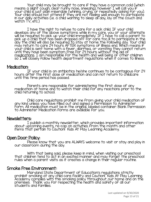Your child may be brought to care if they have a common cold (which means a slight cough, clear runny nose, sneezing), however I will call you if your child is just plain miserable (whining, crying, or repeatedly asking for you). Your child should not attend if they are not feeling well enough to participate in our daily activities (i.e. a child wanting to sleep all day, lay on the couch and watch TV, etc.)

I have the right to refuse to care for a sick child. If your child develops any of the above symptoms while in my care, you or your alternate will be required to pick up your child immediately. If I have to call a parent to pick up a child that has been dropped off for care too ill to participate in the day the child will also be required to stay at home the following day. Your child may return to care 24 hours AFTER symptoms of illness end. Which means if your child is sent home with a fever, diarrhea, or vomiting they cannot return until they have been symptom free for 24 hours without the aid of medications. I am responsible for the health and well being of other children so I will closely follow health department regulations when it comes to illness.

#### Medication:

If your child is on antibiotics he/she continues to be contagious for 24 hours after the first dose of medication and can not return to childcare until this time period has passed.

Parents are responsible for administering the first dose of any medication at home and to watch their child for any reactions prior to the child returning to school.

Child care regulations prohibit me from giving your child medication of any kind unless you have filled out and signed a Permission to Administer Form. All medication must be in the original, labeled container. Blank Permission to Administer Medication forms are available for you.

#### Newsletters:

I publish a monthly newsletter, which provides important information about upcoming events, re-cap on activities from the month and other items that pertain to Caution! Kids At Play Learning Academy.

#### Open Door Policy:

Please know that you are ALWAYS welcome to visit or stay and play in our classroom during the day.

With that being said, please keep in mind, when visiting our preschool that children tend to act in an excited manner and may forget the preschool rules when a parent visits as it creates a change in their regular routine.

#### Smoke Free Environment:

Maryland State Department of Education's regulations strictly prohibit smoking at any child care facility and Caution! Kids At Play Learning Academy compiles with this smoking policy throughout our home and on the premises. Thank you for respecting the health and safety of all our students and families.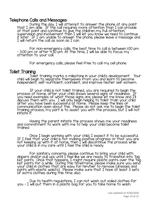## Telephone Calls and Messages:

During the day, I will attempt to answer the phone at any point that I am able. If the call requires more attention than I can provide at that point and continue to give the children my full attention, supervision and involvement then I will let you know we need to continue it later. If I am unable to answer the phone, please leave a message and I will return the call as soon as I can.

For non-emergency calls, the best time to call is between 1:00 pm – 3:00 pm or after 4:30 pm. At this time, I will be able to focus my attention to your call.

For emergency calls, please feel free to call my cell phone.

#### Toilet Training:

Toilet training marks a milestone in your child's development. Your child will begin to separate themselves from you and learn to become independent, self-sufficient, confident, and improve his/her self esteem.

If your child is not toilet trained, you are required to begin the process at home, after your child shows several signs of readiness. If you need examples of what those signs are, please let me know and I'll discuss them with you. I will only begin helping to toilet train your child after you have been successful at home. Please keep the lines of communication open about this. Please do not ask me to begin the toilet training process, my part is to assist you with the process, but I will not initiate it.

Having the parent initiate the process shows me your readiness and commitment to work with me to help your child become toilet trained.

Once I begin working with your child, I expect it to be successful. If I feel that your child is not making positive progress or that you are not keeping up with it at home, then I will discontinue the process while your child is in my care until I feel the child is ready.

For sanitary concerns, please continue to bring your child with diapers and/or pull ups until I feel like we are ready to transition into "big kid" pants. Once that happens, I might require plastic pants over the "big kid" pants for a while. During this timeframe, please make sure you send your child in clothes that are easy for him/her to remove (dresses and pants with elastic waists). Please make sure that I have at least 3 sets of extra clothes during this time also.

Due to health regulations, I can not wash out soiled clothes for you – I will put them in a plastic bag for you to take home to wash.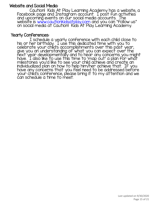# Website and Social Media:

Caution! Kids At Play Learning Academy has a website, a Facebook page and Instagram account. I post fun activities and upcoming events on our social media accounts. The website is <u>www.cautionkidsatplay.com</u> and you can "follow us" on social media at Caution! Kids At Play Learning Academy.

## Yearly Conferences:

I schedule a yearly conference with each child close to his or her birthday. I use this dedicated time with you to celebrate your child's accomplishments over this past year, give you an understanding of what you can expect over the next year developmentally and to hear any concerns you might have. 'I also like to use this time to 'map out' a plan for what milestones you'd like to see your child achieve and create an individualized plan on how to help him/her achieve that. If you have any concerns that you feel need to be addressed before your child's conference, please bring it to my attention and we can schedule a time to meet.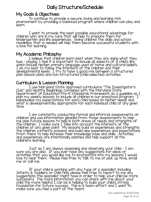# Daily Structure/Schedule:

# My Goals & Objectives:

To continue to provide a secure, loving and learning-rich environment by providing a balanced program where children can play and learn.

I want to provide the best possible educational advantage for children who are in my care that will help to prepare them for kindergarten and life experiences. Giving children the skills and school readiness that is needed will help them become successful students with a love for learning.

## My Academic Philosphy:

I believe that children learn best when they are doing what they love – playing. I feel it is important to include all aspects of a child's life which include his/her primary language used at home and cultural beliefs. I do my best to follow the interests of the children and their developmental levels. I try to have a good mix between a structured plan (lesson plan) and non-structured (child selected) activities.

# Curriculum & Lesson Planning:

I use Maryland State approved curriculums "The Investigator's Club" and Healthy Beginnings combined with the Maryland State Department of Education Pre-K Standards framework as a guideline as I plan my weekly lessons to include all children in our preschool program. I individualize my expectations for each child based on his/her needs and what is developmentally appropriate for each individual child at any given time.

I am constantly conducting formal and informal assessments on children and use information gleaned from those assessments to help me plan future lessons to help in both areas of needs and strengths of the children. I make sure I take into account the interests of the children at any given point. My lessons build on experiences and strengths the children currently possess and build new experiences and expectations from there to help increase their knowledge base and skills. Activities and experiences are intentionally planned and help support all the children's learning.

Just as I am always assessing and observing your child – I am sure you are also. If you ever have any suggestions for ideas or activities that you would like me to incorporate into my lessons I would love to hear them. Please feel free to talk to me at pick up time, email me or call me.

If your child is working with any type of a specialist, including Infants & Toddlers or Child Find, please feel free to report to me any suggestions the specialist might have in order to help your child be more successful. The more information you can share with me about your child the more helpful I can be in helping to build your child's strong foundation for future success. This is a team effort and I want to make sure you feel a part of the team!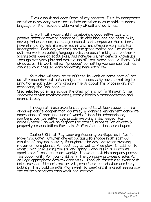I value input and ideas from all my parents. I like to incorporate activities in my daily plans that include activities in your child's primary language or that include a wide variety of cultural activities.

I work with your child in developing a good self-image and positive attitude toward his/her self, develop language and social skills, develop independence, encourage respect and compassion for others, have stimulating learning experiences and help prepare your child for kindergarten. Each day we work on our gross motor and fine motor skills, we work on building language skills, increase thinking and problemsolving skills, develop social skills, and increase his/her general knowledge through everyday play and exploration of their world around them. A lot of days, all this work will not "produce" something you can see, but rest assured your child did learn something here each day!

Your child will work or be offered to work on some sort of art activity each day, but he/she might not necessarily have something to bring home each day. With children it is all about the process and not necessarily the final product.

Child selected activities include the creation station (writing/art), the discovery center (math/science), library, blocks & transportation and dramatic play.

Through all these experiences your child will learn about . . . the alphabet, colors, cooperation, courtesy & manners, enrichment concepts, expressions of emotion – use of words, friendship, independence, numbers, positive self-image, problem-solving skills, respect for himself/herself as well as respect for others, respect for objects & property, responsibilities for tasks & of his/her actions, and shapes.

Caution! Kids at Play Learning Academy participates in "Let's Move Child Care". Children are encouraged to engage in at least 60 minutes of physical activity throughout the day. Activities involving movement are planned for each day as well as free play. In addition to what I plan daily during the fall and spring I also offer a 30 minute sports and fitness program weekly. I have an outside company provide this opportunity for your child(ren). The company provides a safe, fun and age appropriate activity each week. Through structured exercise it helps increase children's motor skills, eye / hand coordination and body balance. They build on skills from week to week and it is great seeing how the children progress each week and improve!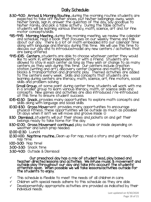# Daily Schedule:

- 8:30-9:00: Arrival & Morning Routine…during the morning routine students are expected to take off his/her shoes, put his/her belongings away, wash his/her hands, sign in, answer the question of the day, say goodbye to his/her family, and pick a table activity. During the table activity students will be learning various literacy, math, science, art and /or fine motor concepts/skills.
- 9:15-9:45: Morning Meeting…during the morning meeting, we review the calendar and schedule, read a book that focuses on our weekly theme and talk about our day. There is a lot of math embedded into our calendar time along with language and literacy during this time. We will use this time to discuss our day and to introduce/model any new centers / activities that are being offered.
- 9:45-10:15: Centers…students are able to choose whatever center they would like to work in, either independently or with a friend. Students are allowed to stay in each center as long as they wish or change to as many centers as they wish during this time. Our centers include creation station (writing and art); discovery center (science and math); library, blocks & transportation and dramatic play. Themed activities are added to the centers every week. Skills and concepts that students are learning during centers are literacy, math, science, art, fine motors, social skills and problem solving.

Small Group... at some point during center time, students will work with me in a smaller group to learn various literacy, math, or science skills and concepts. New games and activities are also introduced / re-introduced at this time to ensure student success.

- 10:15-10:30: Snack…provides many opportunities to explore math concepts and skills along with language and social skills.
- 10:30-11:30: Gross Movement…provides many opportunities to encourage physical fitness…these opportunities will be outside as much as possible! On days when it isn't we will move and groove inside  $\circledcirc$
- 11:30: Dismissal…students will put their shoes and jackets on and get their belongs ready to take home for the day.
- 11:30-12:00: Gross Movement continued…play outside or inside depending on weather and lunch prep needed.
- 12:00-12:30: Lunch!
- 12:30-1:00: Naptime routine…Clean up for nap, read a story and get ready for nap time.
- 1:00-3:00: Nap time!
- 3:00-3:30: Snack time
- 3:30-4:00: Outside & Dismissal

Our preschool day has a mix of student lead, play based and teacher directed lessons and activities. We infuse music & movement and outside play throughout our day and take into account the students' attention span. When possible we will take lessons/activities outside for the students to enjoy.

- This schedule is flexible to meet the needs of all children in care.
- Children with special needs adhere to this schedule as they are able.
- Developmentally appropriate activities are provided as indicated by their individual needs.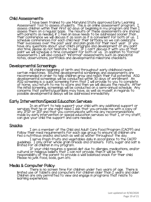#### Child Assessments:

I have been trained to use Maryland State approved Early Learning Assessment Tool to assess students. This is an online assessment program. I\_ assess children within their first 60 days of beginning in my program and then I assess them on a regular basis. The results of these assessments are shared with parents as needed, if I feel an issue needs to be addressed sooner than their conference we will discuss it as soon as it is convenient for both of us. I schedule conferences for each child near their birthday so we can celebrate their successes over the past year and plan goals for their next year. If you have any questions about your child's progress and development at any point and time, please do not hesitate to ask. If I can't discuss it with you at that point we will schedule a time convenient for both of us. In addition to "formal" assessments I will also conduct "informal" assessments such as anecdotal notes, observations, portfolios and developmental milestone checklists.

#### Developmental Screenings:

All children beginning at birth and throughout early childhood reach certain milestones. Routine developmental screenings and assessments are recommended in order to help children grow and reach their full potential. ASQ developmental screenings will be conducted within 30 days of enrollment. An ASQ screening is a quick screening form that I will provide to you to complete at home, you return to me to score and then we will discuss the results. After the initial screening, screenings will be conducted on a semi-annual schedule. Any concerns that parents/guardians may have, as well as myself, in regards to possible developmental delays will be addressed immediately.

#### Early Intervention/Special Education Services:

In an effort to help support your child with any additional support or services that he or she might need I ask that you provide me with a copy of any IFSP or IEP and that you communicate with me any recommendations made by early intervention or special education services so that I, or my staff, can give your child the support and care needed.

#### Snacks:

I am a member of the Child and Adult Care Food Program (CACFP) and follow their meal requirements for each age group to ensure all children are fed a nutritious snacks and lunch as well as water throughout the day.

I serve fresh fruits and vegetables daily in accordance to the CACFP guidelines. I only offer whole grain breads and crackers. Fats, sugar and salt is limited for all children in my program.

If your child requires a special diet due to allergies, medications, and/or cultural or religious beliefs that I can not provide, then it will be the responsibility of the parent to provide a well balanced snack for their child. Please no junk food, soda, gum etc.

#### Media & Computer Policy:

There is no screen time for children under two years of age. There is limited use of tablets and computers for children older than 2 years and older. Children are only permitted to view and engage in programs that relate to learning experiences.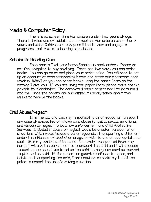# Media & Computer Policy:

There is no screen time for children under two years of age. There is limited use of tablets and computers for children older than 2 years and older. Children are only permitted to view and engage in programs that relate to learning experiences.

## Scholastic Reading Club:

Each month I will send home Scholastic book orders. Please do not feel obligated to buy anything. There are two ways you can order books. You can go online and place your order online. You will need to set up an account at scholasticbookclub.com and enter our classroom code which is HM8NT or you can order books using the paper form on the catalog I give you. If you are using the paper form please make checks payable to "Scholastic". The completed paper orders need to be turned into me. Once the orders are submitted it usually takes about two weeks to receive the books.

## Child Abuse/Neglect:

It is the law and also my responsibility as an educator to report any case of suspected or known child abuse (physical, sexual, emotional, and verbal) or neglect to local law enforcement and Child Protective Services. Included in abuse or neglect would be unsafe transportation situations which would include a parent/guardian transporting a child(ren) under the influence of alcohol or drugs; or fails to use an appropriate car seat. If, in my opinion, a child cannot be safely transported from my home, I will ask the parent not to transport the child and I will proceed to contact someone else listed on the child's emergency card authorized to pick up the child. If the parent or guardian refuses to agree, and insists on transporting the child, I am required immediately to call the police to report the unsafe driving situation.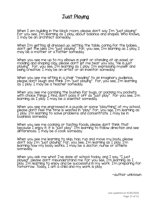# Just Playing

When I am building in the block room, please don't say I'm "just playing". For you see, I'm learning as I play, about balance and shapes. Who knows, I may be an architect someday.

When I'm getting all dressed up, setting the table, caring for the babies, don't get the idea I'm "just playing". For, you see, I'm learning as I play; I may be a mother or a father someday.

When you see me up to my elbows in paint or standing at an easel, or molding and shaping clay, please don't let me hear you say, "He is just playing". For, you see, I'm learning as I play. I'm expressing myself and being creative. I may be an artist or an inventor someday.

When you see me sitting in a chair "reading" to an imaginary audience, please don't laugh and think I'm "just playing". For, you see, I'm learning as I play. I may be a teacher someday.

When you see me combing the bushes for bugs, or packing my pockets with choice things I find, don't pass it off as "just play". For you see, I'm learning as I play. I may be a scientist someday.

When you see me engrossed in a puzzle or some "plaything" at my school, please don't feel the time is wasted in "play". For, you see, I'm learning as I play. I'm learning to solve problems and concentrate. I may be in business someday.

When you see me cooking or tasting foods, please don't think that because I enjoy it, it is "just play". I'm learning to follow direction and see differences. I may be a cook someday.

When you see me learning to skip, hop, run and move my body, please don't say I'm "just playing". For, you see, I'm learning as I play. I'm learning how my body works. I may be a doctor, nurse or athlete someday.

When you ask me what I've done at school today, and I say, "I just played", please don't misunderstand me. For you see, I'm learning as I play. I'm learning to enjoy and be successful in my work. I'm preparing for tomorrow. Today, I am a child and my work is play.

~author unknown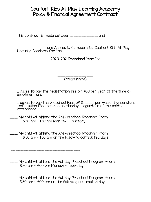# Caution! Kids At Play Learning Academy Policy & Financial Agreement Contract

This contract is made between \_\_\_\_\_\_\_\_\_\_\_\_\_\_\_\_\_ and

\_\_\_\_\_\_\_\_\_\_\_\_\_\_\_\_\_\_ and Andrea L. Campbell dba Caution! Kids At Play Learning Academy for the

2020-2021 Preschool Year for

\_\_\_\_\_\_\_\_\_\_\_\_\_\_\_\_\_\_\_\_\_ (child's name)

I agree to pay the registration fee of \$100 per year at the time of enrollment and

I agree to pay the preschool fees of \$\_\_\_\_\_\_\_ per week. I understand that tuition fees are due on Mondays regardless of my child's attendance.

- \_\_\_\_\_ My child will attend the AM Preschool Program from 8:30 am – 11:30 am Monday – Thursday.
- \_\_\_\_\_ My child will attend the AM Preschool Program from 8:30 am – 11:30 am on the following contracted days

\_\_\_\_\_\_\_\_\_\_\_\_\_\_\_\_\_\_\_\_\_\_\_\_\_\_\_\_\_\_\_\_\_\_\_\_\_\_\_\_\_\_\_.

\_\_\_\_\_ My child will attend the full day Preschool Program from 8:30 am – 4:00 pm Monday – Thursday.

\_\_\_\_\_ My child will attend the full day Preschool Program from 8:30 am – 4:00 pm on the following contracted days